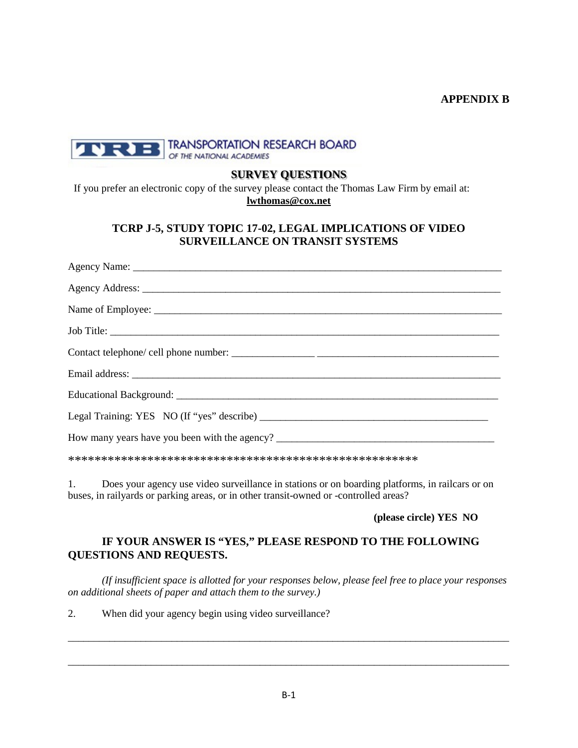### **APPENDIX B**



### **SURVEY QUESTIONS**

If you prefer an electronic copy of the survey please contact the Thomas Law Firm by email at: **[lwthomas@cox.net](mailto:lwthomas@cox.net)**

# **TCRP J-5, STUDY TOPIC 17-02, LEGAL IMPLICATIONS OF VIDEO SURVEILLANCE ON TRANSIT SYSTEMS**

\*\*\*\*\*\*\*\*\*\*\*\*\*\*\*\*\*\*\*\*\*\*\*\*\*\*\*\*\*\*\*\*\*\*\*\*\*\*\*\*\*\*\*\*\*\*\*\*\*\*\*\*\*

1. Does your agency use video surveillance in stations or on boarding platforms, in railcars or on buses, in railyards or parking areas, or in other transit-owned or -controlled areas?

**(please circle) YES NO**

# **IF YOUR ANSWER IS "YES," PLEASE RESPOND TO THE FOLLOWING QUESTIONS AND REQUESTS.**

*(If insufficient space is allotted for your responses below, please feel free to place your responses on additional sheets of paper and attach them to the survey.)*

\_\_\_\_\_\_\_\_\_\_\_\_\_\_\_\_\_\_\_\_\_\_\_\_\_\_\_\_\_\_\_\_\_\_\_\_\_\_\_\_\_\_\_\_\_\_\_\_\_\_\_\_\_\_\_\_\_\_\_\_\_\_\_\_\_\_\_\_\_\_\_\_\_\_\_\_\_\_\_\_\_\_\_\_\_

\_\_\_\_\_\_\_\_\_\_\_\_\_\_\_\_\_\_\_\_\_\_\_\_\_\_\_\_\_\_\_\_\_\_\_\_\_\_\_\_\_\_\_\_\_\_\_\_\_\_\_\_\_\_\_\_\_\_\_\_\_\_\_\_\_\_\_\_\_\_\_\_\_\_\_\_\_\_\_\_\_\_\_\_\_

2. When did your agency begin using video surveillance?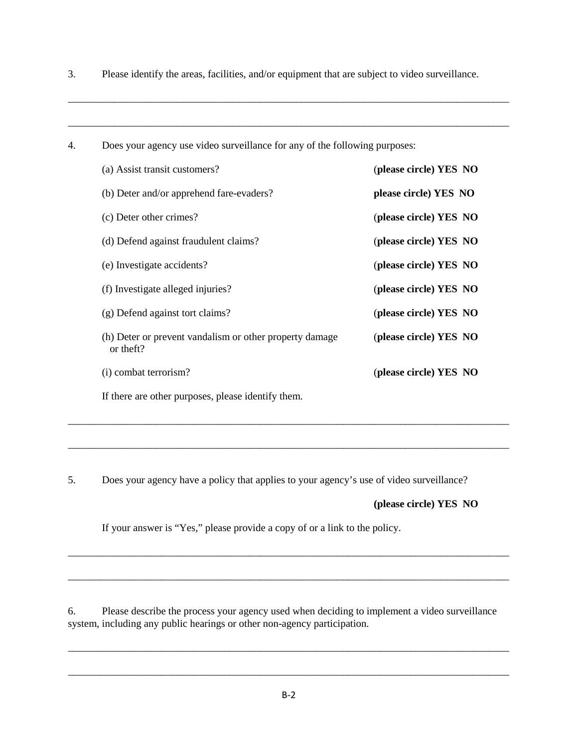3. Please identify the areas, facilities, and/or equipment that are subject to video surveillance.

\_\_\_\_\_\_\_\_\_\_\_\_\_\_\_\_\_\_\_\_\_\_\_\_\_\_\_\_\_\_\_\_\_\_\_\_\_\_\_\_\_\_\_\_\_\_\_\_\_\_\_\_\_\_\_\_\_\_\_\_\_\_\_\_\_\_\_\_\_\_\_\_\_\_\_\_\_\_\_\_\_\_\_\_\_

\_\_\_\_\_\_\_\_\_\_\_\_\_\_\_\_\_\_\_\_\_\_\_\_\_\_\_\_\_\_\_\_\_\_\_\_\_\_\_\_\_\_\_\_\_\_\_\_\_\_\_\_\_\_\_\_\_\_\_\_\_\_\_\_\_\_\_\_\_\_\_\_\_\_\_\_\_\_\_\_\_\_\_\_\_

| 4. | Does your agency use video surveillance for any of the following purposes: |                        |  |
|----|----------------------------------------------------------------------------|------------------------|--|
|    | (a) Assist transit customers?                                              | (please circle) YES NO |  |
|    | (b) Deter and/or apprehend fare-evaders?                                   | please circle) YES NO  |  |
|    | (c) Deter other crimes?                                                    | (please circle) YES NO |  |
|    | (d) Defend against fraudulent claims?                                      | (please circle) YES NO |  |
|    | (e) Investigate accidents?                                                 | (please circle) YES NO |  |
|    | (f) Investigate alleged injuries?                                          | (please circle) YES NO |  |
|    | (g) Defend against tort claims?                                            | (please circle) YES NO |  |
|    | (h) Deter or prevent vandalism or other property damage<br>or theft?       | (please circle) YES NO |  |
|    | (i) combat terrorism?                                                      | (please circle) YES NO |  |
|    | If there are other purposes, please identify them.                         |                        |  |

5. Does your agency have a policy that applies to your agency's use of video surveillance?

\_\_\_\_\_\_\_\_\_\_\_\_\_\_\_\_\_\_\_\_\_\_\_\_\_\_\_\_\_\_\_\_\_\_\_\_\_\_\_\_\_\_\_\_\_\_\_\_\_\_\_\_\_\_\_\_\_\_\_\_\_\_\_\_\_\_\_\_\_\_\_\_\_\_\_\_\_\_\_\_\_\_\_\_\_

\_\_\_\_\_\_\_\_\_\_\_\_\_\_\_\_\_\_\_\_\_\_\_\_\_\_\_\_\_\_\_\_\_\_\_\_\_\_\_\_\_\_\_\_\_\_\_\_\_\_\_\_\_\_\_\_\_\_\_\_\_\_\_\_\_\_\_\_\_\_\_\_\_\_\_\_\_\_\_\_\_\_\_\_\_

 **(please circle) YES NO**

If your answer is "Yes," please provide a copy of or a link to the policy.

6. Please describe the process your agency used when deciding to implement a video surveillance system, including any public hearings or other non-agency participation.

\_\_\_\_\_\_\_\_\_\_\_\_\_\_\_\_\_\_\_\_\_\_\_\_\_\_\_\_\_\_\_\_\_\_\_\_\_\_\_\_\_\_\_\_\_\_\_\_\_\_\_\_\_\_\_\_\_\_\_\_\_\_\_\_\_\_\_\_\_\_\_\_\_\_\_\_\_\_\_\_\_\_\_\_\_

\_\_\_\_\_\_\_\_\_\_\_\_\_\_\_\_\_\_\_\_\_\_\_\_\_\_\_\_\_\_\_\_\_\_\_\_\_\_\_\_\_\_\_\_\_\_\_\_\_\_\_\_\_\_\_\_\_\_\_\_\_\_\_\_\_\_\_\_\_\_\_\_\_\_\_\_\_\_\_\_\_\_\_\_\_

\_\_\_\_\_\_\_\_\_\_\_\_\_\_\_\_\_\_\_\_\_\_\_\_\_\_\_\_\_\_\_\_\_\_\_\_\_\_\_\_\_\_\_\_\_\_\_\_\_\_\_\_\_\_\_\_\_\_\_\_\_\_\_\_\_\_\_\_\_\_\_\_\_\_\_\_\_\_\_\_\_\_\_\_\_

\_\_\_\_\_\_\_\_\_\_\_\_\_\_\_\_\_\_\_\_\_\_\_\_\_\_\_\_\_\_\_\_\_\_\_\_\_\_\_\_\_\_\_\_\_\_\_\_\_\_\_\_\_\_\_\_\_\_\_\_\_\_\_\_\_\_\_\_\_\_\_\_\_\_\_\_\_\_\_\_\_\_\_\_\_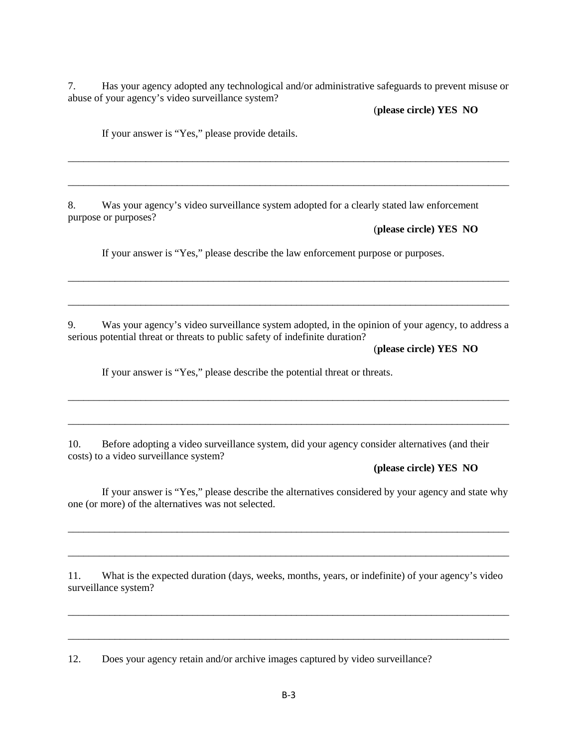7. Has your agency adopted any technological and/or administrative safeguards to prevent misuse or abuse of your agency's video surveillance system?

\_\_\_\_\_\_\_\_\_\_\_\_\_\_\_\_\_\_\_\_\_\_\_\_\_\_\_\_\_\_\_\_\_\_\_\_\_\_\_\_\_\_\_\_\_\_\_\_\_\_\_\_\_\_\_\_\_\_\_\_\_\_\_\_\_\_\_\_\_\_\_\_\_\_\_\_\_\_\_\_\_\_\_\_\_

\_\_\_\_\_\_\_\_\_\_\_\_\_\_\_\_\_\_\_\_\_\_\_\_\_\_\_\_\_\_\_\_\_\_\_\_\_\_\_\_\_\_\_\_\_\_\_\_\_\_\_\_\_\_\_\_\_\_\_\_\_\_\_\_\_\_\_\_\_\_\_\_\_\_\_\_\_\_\_\_\_\_\_\_\_

(**please circle) YES NO**

If your answer is "Yes," please provide details.

8. Was your agency's video surveillance system adopted for a clearly stated law enforcement purpose or purposes?

(**please circle) YES NO**

If your answer is "Yes," please describe the law enforcement purpose or purposes.

9. Was your agency's video surveillance system adopted, in the opinion of your agency, to address a serious potential threat or threats to public safety of indefinite duration?

\_\_\_\_\_\_\_\_\_\_\_\_\_\_\_\_\_\_\_\_\_\_\_\_\_\_\_\_\_\_\_\_\_\_\_\_\_\_\_\_\_\_\_\_\_\_\_\_\_\_\_\_\_\_\_\_\_\_\_\_\_\_\_\_\_\_\_\_\_\_\_\_\_\_\_\_\_\_\_\_\_\_\_\_\_

\_\_\_\_\_\_\_\_\_\_\_\_\_\_\_\_\_\_\_\_\_\_\_\_\_\_\_\_\_\_\_\_\_\_\_\_\_\_\_\_\_\_\_\_\_\_\_\_\_\_\_\_\_\_\_\_\_\_\_\_\_\_\_\_\_\_\_\_\_\_\_\_\_\_\_\_\_\_\_\_\_\_\_\_\_

\_\_\_\_\_\_\_\_\_\_\_\_\_\_\_\_\_\_\_\_\_\_\_\_\_\_\_\_\_\_\_\_\_\_\_\_\_\_\_\_\_\_\_\_\_\_\_\_\_\_\_\_\_\_\_\_\_\_\_\_\_\_\_\_\_\_\_\_\_\_\_\_\_\_\_\_\_\_\_\_\_\_\_\_\_

\_\_\_\_\_\_\_\_\_\_\_\_\_\_\_\_\_\_\_\_\_\_\_\_\_\_\_\_\_\_\_\_\_\_\_\_\_\_\_\_\_\_\_\_\_\_\_\_\_\_\_\_\_\_\_\_\_\_\_\_\_\_\_\_\_\_\_\_\_\_\_\_\_\_\_\_\_\_\_\_\_\_\_\_\_

(**please circle) YES NO**

If your answer is "Yes," please describe the potential threat or threats.

10. Before adopting a video surveillance system, did your agency consider alternatives (and their costs) to a video surveillance system?

#### **(please circle) YES NO**

If your answer is "Yes," please describe the alternatives considered by your agency and state why one (or more) of the alternatives was not selected.

\_\_\_\_\_\_\_\_\_\_\_\_\_\_\_\_\_\_\_\_\_\_\_\_\_\_\_\_\_\_\_\_\_\_\_\_\_\_\_\_\_\_\_\_\_\_\_\_\_\_\_\_\_\_\_\_\_\_\_\_\_\_\_\_\_\_\_\_\_\_\_\_\_\_\_\_\_\_\_\_\_\_\_\_\_

\_\_\_\_\_\_\_\_\_\_\_\_\_\_\_\_\_\_\_\_\_\_\_\_\_\_\_\_\_\_\_\_\_\_\_\_\_\_\_\_\_\_\_\_\_\_\_\_\_\_\_\_\_\_\_\_\_\_\_\_\_\_\_\_\_\_\_\_\_\_\_\_\_\_\_\_\_\_\_\_\_\_\_\_\_

11. What is the expected duration (days, weeks, months, years, or indefinite) of your agency's video surveillance system?

\_\_\_\_\_\_\_\_\_\_\_\_\_\_\_\_\_\_\_\_\_\_\_\_\_\_\_\_\_\_\_\_\_\_\_\_\_\_\_\_\_\_\_\_\_\_\_\_\_\_\_\_\_\_\_\_\_\_\_\_\_\_\_\_\_\_\_\_\_\_\_\_\_\_\_\_\_\_\_\_\_\_\_\_\_

\_\_\_\_\_\_\_\_\_\_\_\_\_\_\_\_\_\_\_\_\_\_\_\_\_\_\_\_\_\_\_\_\_\_\_\_\_\_\_\_\_\_\_\_\_\_\_\_\_\_\_\_\_\_\_\_\_\_\_\_\_\_\_\_\_\_\_\_\_\_\_\_\_\_\_\_\_\_\_\_\_\_\_\_\_

12. Does your agency retain and/or archive images captured by video surveillance?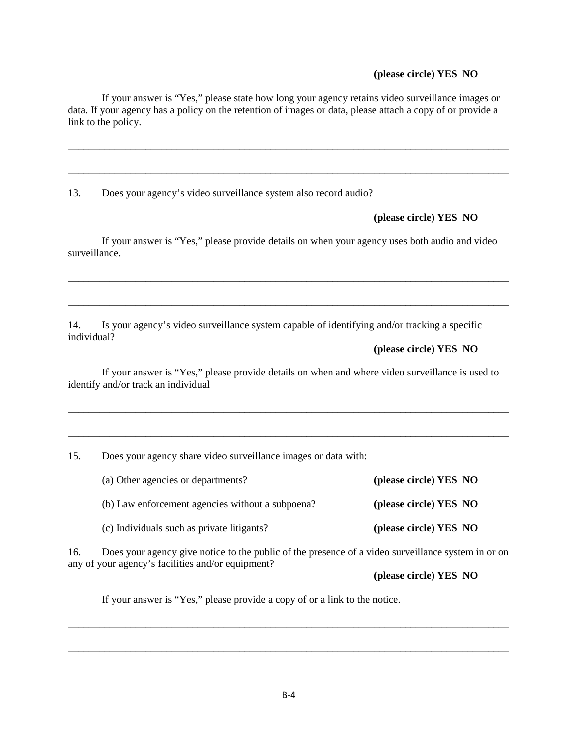#### **(please circle) YES NO**

If your answer is "Yes," please state how long your agency retains video surveillance images or data. If your agency has a policy on the retention of images or data, please attach a copy of or provide a link to the policy.

\_\_\_\_\_\_\_\_\_\_\_\_\_\_\_\_\_\_\_\_\_\_\_\_\_\_\_\_\_\_\_\_\_\_\_\_\_\_\_\_\_\_\_\_\_\_\_\_\_\_\_\_\_\_\_\_\_\_\_\_\_\_\_\_\_\_\_\_\_\_\_\_\_\_\_\_\_\_\_\_\_\_\_\_\_

\_\_\_\_\_\_\_\_\_\_\_\_\_\_\_\_\_\_\_\_\_\_\_\_\_\_\_\_\_\_\_\_\_\_\_\_\_\_\_\_\_\_\_\_\_\_\_\_\_\_\_\_\_\_\_\_\_\_\_\_\_\_\_\_\_\_\_\_\_\_\_\_\_\_\_\_\_\_\_\_\_\_\_\_\_

13. Does your agency's video surveillance system also record audio?

 **(please circle) YES NO**

If your answer is "Yes," please provide details on when your agency uses both audio and video surveillance.

\_\_\_\_\_\_\_\_\_\_\_\_\_\_\_\_\_\_\_\_\_\_\_\_\_\_\_\_\_\_\_\_\_\_\_\_\_\_\_\_\_\_\_\_\_\_\_\_\_\_\_\_\_\_\_\_\_\_\_\_\_\_\_\_\_\_\_\_\_\_\_\_\_\_\_\_\_\_\_\_\_\_\_\_\_

\_\_\_\_\_\_\_\_\_\_\_\_\_\_\_\_\_\_\_\_\_\_\_\_\_\_\_\_\_\_\_\_\_\_\_\_\_\_\_\_\_\_\_\_\_\_\_\_\_\_\_\_\_\_\_\_\_\_\_\_\_\_\_\_\_\_\_\_\_\_\_\_\_\_\_\_\_\_\_\_\_\_\_\_\_

14. Is your agency's video surveillance system capable of identifying and/or tracking a specific individual?

 **(please circle) YES NO**

If your answer is "Yes," please provide details on when and where video surveillance is used to identify and/or track an individual

\_\_\_\_\_\_\_\_\_\_\_\_\_\_\_\_\_\_\_\_\_\_\_\_\_\_\_\_\_\_\_\_\_\_\_\_\_\_\_\_\_\_\_\_\_\_\_\_\_\_\_\_\_\_\_\_\_\_\_\_\_\_\_\_\_\_\_\_\_\_\_\_\_\_\_\_\_\_\_\_\_\_\_\_\_

\_\_\_\_\_\_\_\_\_\_\_\_\_\_\_\_\_\_\_\_\_\_\_\_\_\_\_\_\_\_\_\_\_\_\_\_\_\_\_\_\_\_\_\_\_\_\_\_\_\_\_\_\_\_\_\_\_\_\_\_\_\_\_\_\_\_\_\_\_\_\_\_\_\_\_\_\_\_\_\_\_\_\_\_\_

15. Does your agency share video surveillance images or data with:

| (a) Other agencies or departments?               | (please circle) YES NO |
|--------------------------------------------------|------------------------|
| (b) Law enforcement agencies without a subpoena? | (please circle) YES NO |
| (c) Individuals such as private litigants?       | (please circle) YES NO |

16. Does your agency give notice to the public of the presence of a video surveillance system in or on any of your agency's facilities and/or equipment?

\_\_\_\_\_\_\_\_\_\_\_\_\_\_\_\_\_\_\_\_\_\_\_\_\_\_\_\_\_\_\_\_\_\_\_\_\_\_\_\_\_\_\_\_\_\_\_\_\_\_\_\_\_\_\_\_\_\_\_\_\_\_\_\_\_\_\_\_\_\_\_\_\_\_\_\_\_\_\_\_\_\_\_\_\_

\_\_\_\_\_\_\_\_\_\_\_\_\_\_\_\_\_\_\_\_\_\_\_\_\_\_\_\_\_\_\_\_\_\_\_\_\_\_\_\_\_\_\_\_\_\_\_\_\_\_\_\_\_\_\_\_\_\_\_\_\_\_\_\_\_\_\_\_\_\_\_\_\_\_\_\_\_\_\_\_\_\_\_\_\_

**(please circle) YES NO**

If your answer is "Yes," please provide a copy of or a link to the notice.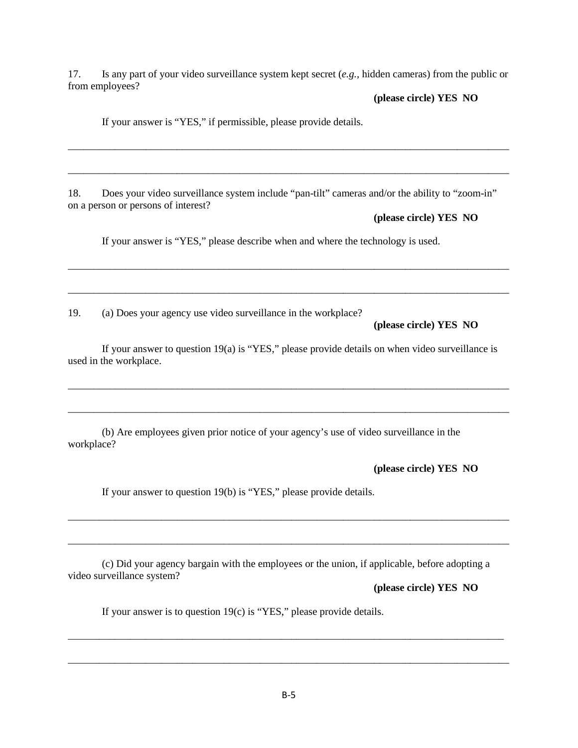17. Is any part of your video surveillance system kept secret (*e.g.,* hidden cameras) from the public or from employees?

\_\_\_\_\_\_\_\_\_\_\_\_\_\_\_\_\_\_\_\_\_\_\_\_\_\_\_\_\_\_\_\_\_\_\_\_\_\_\_\_\_\_\_\_\_\_\_\_\_\_\_\_\_\_\_\_\_\_\_\_\_\_\_\_\_\_\_\_\_\_\_\_\_\_\_\_\_\_\_\_\_\_\_\_\_

\_\_\_\_\_\_\_\_\_\_\_\_\_\_\_\_\_\_\_\_\_\_\_\_\_\_\_\_\_\_\_\_\_\_\_\_\_\_\_\_\_\_\_\_\_\_\_\_\_\_\_\_\_\_\_\_\_\_\_\_\_\_\_\_\_\_\_\_\_\_\_\_\_\_\_\_\_\_\_\_\_\_\_\_\_

\_\_\_\_\_\_\_\_\_\_\_\_\_\_\_\_\_\_\_\_\_\_\_\_\_\_\_\_\_\_\_\_\_\_\_\_\_\_\_\_\_\_\_\_\_\_\_\_\_\_\_\_\_\_\_\_\_\_\_\_\_\_\_\_\_\_\_\_\_\_\_\_\_\_\_\_\_\_\_\_\_\_\_\_\_

\_\_\_\_\_\_\_\_\_\_\_\_\_\_\_\_\_\_\_\_\_\_\_\_\_\_\_\_\_\_\_\_\_\_\_\_\_\_\_\_\_\_\_\_\_\_\_\_\_\_\_\_\_\_\_\_\_\_\_\_\_\_\_\_\_\_\_\_\_\_\_\_\_\_\_\_\_\_\_\_\_\_\_\_\_

#### **(please circle) YES NO**

If your answer is "YES," if permissible, please provide details.

18. Does your video surveillance system include "pan-tilt" cameras and/or the ability to "zoom-in" on a person or persons of interest?

**(please circle) YES NO**

If your answer is "YES," please describe when and where the technology is used.

19. (a) Does your agency use video surveillance in the workplace?

# **(please circle) YES NO**

 If your answer to question 19(a) is "YES," please provide details on when video surveillance is used in the workplace.

\_\_\_\_\_\_\_\_\_\_\_\_\_\_\_\_\_\_\_\_\_\_\_\_\_\_\_\_\_\_\_\_\_\_\_\_\_\_\_\_\_\_\_\_\_\_\_\_\_\_\_\_\_\_\_\_\_\_\_\_\_\_\_\_\_\_\_\_\_\_\_\_\_\_\_\_\_\_\_\_\_\_\_\_\_

\_\_\_\_\_\_\_\_\_\_\_\_\_\_\_\_\_\_\_\_\_\_\_\_\_\_\_\_\_\_\_\_\_\_\_\_\_\_\_\_\_\_\_\_\_\_\_\_\_\_\_\_\_\_\_\_\_\_\_\_\_\_\_\_\_\_\_\_\_\_\_\_\_\_\_\_\_\_\_\_\_\_\_\_\_

\_\_\_\_\_\_\_\_\_\_\_\_\_\_\_\_\_\_\_\_\_\_\_\_\_\_\_\_\_\_\_\_\_\_\_\_\_\_\_\_\_\_\_\_\_\_\_\_\_\_\_\_\_\_\_\_\_\_\_\_\_\_\_\_\_\_\_\_\_\_\_\_\_\_\_\_\_\_\_\_\_\_\_\_\_

\_\_\_\_\_\_\_\_\_\_\_\_\_\_\_\_\_\_\_\_\_\_\_\_\_\_\_\_\_\_\_\_\_\_\_\_\_\_\_\_\_\_\_\_\_\_\_\_\_\_\_\_\_\_\_\_\_\_\_\_\_\_\_\_\_\_\_\_\_\_\_\_\_\_\_\_\_\_\_\_\_\_\_\_\_

(b) Are employees given prior notice of your agency's use of video surveillance in the workplace?

**(please circle) YES NO**

If your answer to question 19(b) is "YES," please provide details.

(c) Did your agency bargain with the employees or the union, if applicable, before adopting a video surveillance system?

**(please circle) YES NO**

If your answer is to question 19(c) is "YES," please provide details.

\_\_\_\_\_\_\_\_\_\_\_\_\_\_\_\_\_\_\_\_\_\_\_\_\_\_\_\_\_\_\_\_\_\_\_\_\_\_\_\_\_\_\_\_\_\_\_\_\_\_\_\_\_\_\_\_\_\_\_\_\_\_\_\_\_\_\_\_\_\_\_\_\_\_\_\_\_\_\_\_\_\_\_\_

\_\_\_\_\_\_\_\_\_\_\_\_\_\_\_\_\_\_\_\_\_\_\_\_\_\_\_\_\_\_\_\_\_\_\_\_\_\_\_\_\_\_\_\_\_\_\_\_\_\_\_\_\_\_\_\_\_\_\_\_\_\_\_\_\_\_\_\_\_\_\_\_\_\_\_\_\_\_\_\_\_\_\_\_\_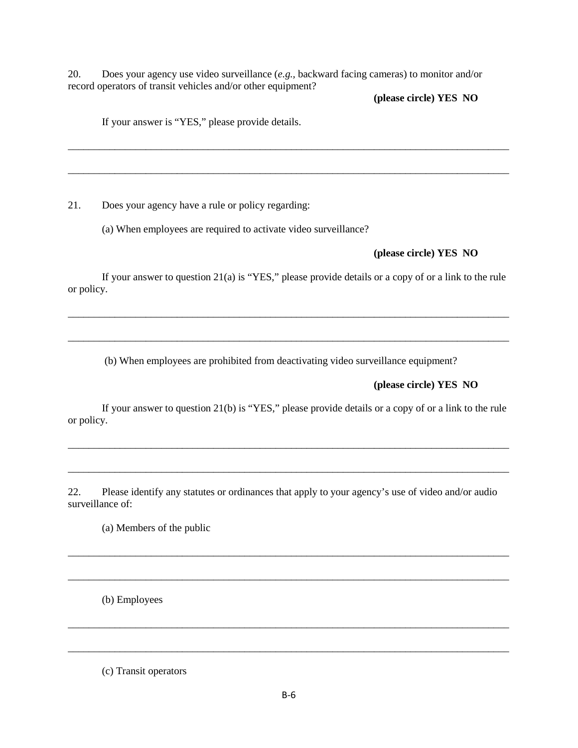20. Does your agency use video surveillance (*e.g.,* backward facing cameras) to monitor and/or record operators of transit vehicles and/or other equipment?

\_\_\_\_\_\_\_\_\_\_\_\_\_\_\_\_\_\_\_\_\_\_\_\_\_\_\_\_\_\_\_\_\_\_\_\_\_\_\_\_\_\_\_\_\_\_\_\_\_\_\_\_\_\_\_\_\_\_\_\_\_\_\_\_\_\_\_\_\_\_\_\_\_\_\_\_\_\_\_\_\_\_\_\_\_

\_\_\_\_\_\_\_\_\_\_\_\_\_\_\_\_\_\_\_\_\_\_\_\_\_\_\_\_\_\_\_\_\_\_\_\_\_\_\_\_\_\_\_\_\_\_\_\_\_\_\_\_\_\_\_\_\_\_\_\_\_\_\_\_\_\_\_\_\_\_\_\_\_\_\_\_\_\_\_\_\_\_\_\_\_

**(please circle) YES NO**

If your answer is "YES," please provide details.

21. Does your agency have a rule or policy regarding:

(a) When employees are required to activate video surveillance?

### **(please circle) YES NO**

If your answer to question 21(a) is "YES," please provide details or a copy of or a link to the rule or policy.

\_\_\_\_\_\_\_\_\_\_\_\_\_\_\_\_\_\_\_\_\_\_\_\_\_\_\_\_\_\_\_\_\_\_\_\_\_\_\_\_\_\_\_\_\_\_\_\_\_\_\_\_\_\_\_\_\_\_\_\_\_\_\_\_\_\_\_\_\_\_\_\_\_\_\_\_\_\_\_\_\_\_\_\_\_

\_\_\_\_\_\_\_\_\_\_\_\_\_\_\_\_\_\_\_\_\_\_\_\_\_\_\_\_\_\_\_\_\_\_\_\_\_\_\_\_\_\_\_\_\_\_\_\_\_\_\_\_\_\_\_\_\_\_\_\_\_\_\_\_\_\_\_\_\_\_\_\_\_\_\_\_\_\_\_\_\_\_\_\_\_

(b) When employees are prohibited from deactivating video surveillance equipment?

# **(please circle) YES NO**

If your answer to question 21(b) is "YES," please provide details or a copy of or a link to the rule or policy.

\_\_\_\_\_\_\_\_\_\_\_\_\_\_\_\_\_\_\_\_\_\_\_\_\_\_\_\_\_\_\_\_\_\_\_\_\_\_\_\_\_\_\_\_\_\_\_\_\_\_\_\_\_\_\_\_\_\_\_\_\_\_\_\_\_\_\_\_\_\_\_\_\_\_\_\_\_\_\_\_\_\_\_\_\_

\_\_\_\_\_\_\_\_\_\_\_\_\_\_\_\_\_\_\_\_\_\_\_\_\_\_\_\_\_\_\_\_\_\_\_\_\_\_\_\_\_\_\_\_\_\_\_\_\_\_\_\_\_\_\_\_\_\_\_\_\_\_\_\_\_\_\_\_\_\_\_\_\_\_\_\_\_\_\_\_\_\_\_\_\_

\_\_\_\_\_\_\_\_\_\_\_\_\_\_\_\_\_\_\_\_\_\_\_\_\_\_\_\_\_\_\_\_\_\_\_\_\_\_\_\_\_\_\_\_\_\_\_\_\_\_\_\_\_\_\_\_\_\_\_\_\_\_\_\_\_\_\_\_\_\_\_\_\_\_\_\_\_\_\_\_\_\_\_\_\_

\_\_\_\_\_\_\_\_\_\_\_\_\_\_\_\_\_\_\_\_\_\_\_\_\_\_\_\_\_\_\_\_\_\_\_\_\_\_\_\_\_\_\_\_\_\_\_\_\_\_\_\_\_\_\_\_\_\_\_\_\_\_\_\_\_\_\_\_\_\_\_\_\_\_\_\_\_\_\_\_\_\_\_\_\_

\_\_\_\_\_\_\_\_\_\_\_\_\_\_\_\_\_\_\_\_\_\_\_\_\_\_\_\_\_\_\_\_\_\_\_\_\_\_\_\_\_\_\_\_\_\_\_\_\_\_\_\_\_\_\_\_\_\_\_\_\_\_\_\_\_\_\_\_\_\_\_\_\_\_\_\_\_\_\_\_\_\_\_\_\_

\_\_\_\_\_\_\_\_\_\_\_\_\_\_\_\_\_\_\_\_\_\_\_\_\_\_\_\_\_\_\_\_\_\_\_\_\_\_\_\_\_\_\_\_\_\_\_\_\_\_\_\_\_\_\_\_\_\_\_\_\_\_\_\_\_\_\_\_\_\_\_\_\_\_\_\_\_\_\_\_\_\_\_\_\_

22. Please identify any statutes or ordinances that apply to your agency's use of video and/or audio surveillance of:

(a) Members of the public

(b) Employees

(c) Transit operators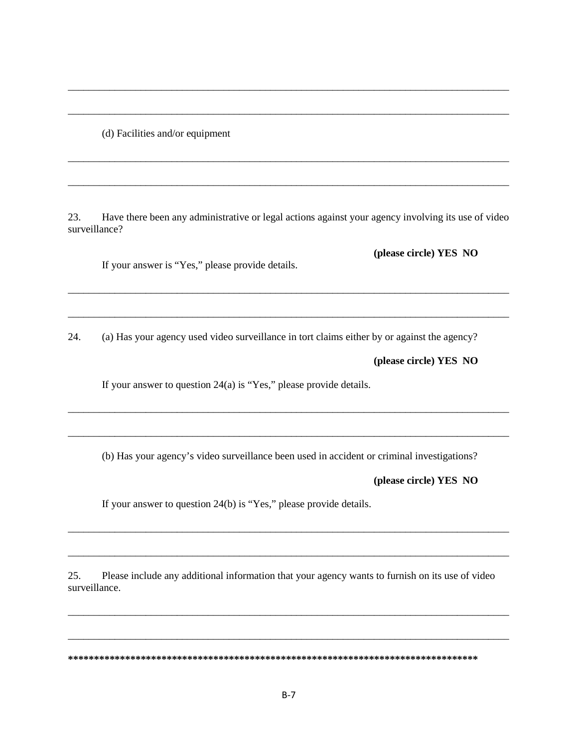(d) Facilities and/or equipment

23. Have there been any administrative or legal actions against your agency involving its use of video surveillance?

\_\_\_\_\_\_\_\_\_\_\_\_\_\_\_\_\_\_\_\_\_\_\_\_\_\_\_\_\_\_\_\_\_\_\_\_\_\_\_\_\_\_\_\_\_\_\_\_\_\_\_\_\_\_\_\_\_\_\_\_\_\_\_\_\_\_\_\_\_\_\_\_\_\_\_\_\_\_\_\_\_\_\_\_\_

\_\_\_\_\_\_\_\_\_\_\_\_\_\_\_\_\_\_\_\_\_\_\_\_\_\_\_\_\_\_\_\_\_\_\_\_\_\_\_\_\_\_\_\_\_\_\_\_\_\_\_\_\_\_\_\_\_\_\_\_\_\_\_\_\_\_\_\_\_\_\_\_\_\_\_\_\_\_\_\_\_\_\_\_\_

\_\_\_\_\_\_\_\_\_\_\_\_\_\_\_\_\_\_\_\_\_\_\_\_\_\_\_\_\_\_\_\_\_\_\_\_\_\_\_\_\_\_\_\_\_\_\_\_\_\_\_\_\_\_\_\_\_\_\_\_\_\_\_\_\_\_\_\_\_\_\_\_\_\_\_\_\_\_\_\_\_\_\_\_\_

\_\_\_\_\_\_\_\_\_\_\_\_\_\_\_\_\_\_\_\_\_\_\_\_\_\_\_\_\_\_\_\_\_\_\_\_\_\_\_\_\_\_\_\_\_\_\_\_\_\_\_\_\_\_\_\_\_\_\_\_\_\_\_\_\_\_\_\_\_\_\_\_\_\_\_\_\_\_\_\_\_\_\_\_\_

\_\_\_\_\_\_\_\_\_\_\_\_\_\_\_\_\_\_\_\_\_\_\_\_\_\_\_\_\_\_\_\_\_\_\_\_\_\_\_\_\_\_\_\_\_\_\_\_\_\_\_\_\_\_\_\_\_\_\_\_\_\_\_\_\_\_\_\_\_\_\_\_\_\_\_\_\_\_\_\_\_\_\_\_\_

\_\_\_\_\_\_\_\_\_\_\_\_\_\_\_\_\_\_\_\_\_\_\_\_\_\_\_\_\_\_\_\_\_\_\_\_\_\_\_\_\_\_\_\_\_\_\_\_\_\_\_\_\_\_\_\_\_\_\_\_\_\_\_\_\_\_\_\_\_\_\_\_\_\_\_\_\_\_\_\_\_\_\_\_\_

If your answer is "Yes," please provide details.

24. (a) Has your agency used video surveillance in tort claims either by or against the agency?

**(please circle) YES NO**

**(please circle) YES NO**

If your answer to question 24(a) is "Yes," please provide details.

(b) Has your agency's video surveillance been used in accident or criminal investigations?

\_\_\_\_\_\_\_\_\_\_\_\_\_\_\_\_\_\_\_\_\_\_\_\_\_\_\_\_\_\_\_\_\_\_\_\_\_\_\_\_\_\_\_\_\_\_\_\_\_\_\_\_\_\_\_\_\_\_\_\_\_\_\_\_\_\_\_\_\_\_\_\_\_\_\_\_\_\_\_\_\_\_\_\_\_

\_\_\_\_\_\_\_\_\_\_\_\_\_\_\_\_\_\_\_\_\_\_\_\_\_\_\_\_\_\_\_\_\_\_\_\_\_\_\_\_\_\_\_\_\_\_\_\_\_\_\_\_\_\_\_\_\_\_\_\_\_\_\_\_\_\_\_\_\_\_\_\_\_\_\_\_\_\_\_\_\_\_\_\_\_

\_\_\_\_\_\_\_\_\_\_\_\_\_\_\_\_\_\_\_\_\_\_\_\_\_\_\_\_\_\_\_\_\_\_\_\_\_\_\_\_\_\_\_\_\_\_\_\_\_\_\_\_\_\_\_\_\_\_\_\_\_\_\_\_\_\_\_\_\_\_\_\_\_\_\_\_\_\_\_\_\_\_\_\_\_

\_\_\_\_\_\_\_\_\_\_\_\_\_\_\_\_\_\_\_\_\_\_\_\_\_\_\_\_\_\_\_\_\_\_\_\_\_\_\_\_\_\_\_\_\_\_\_\_\_\_\_\_\_\_\_\_\_\_\_\_\_\_\_\_\_\_\_\_\_\_\_\_\_\_\_\_\_\_\_\_\_\_\_\_\_

\_\_\_\_\_\_\_\_\_\_\_\_\_\_\_\_\_\_\_\_\_\_\_\_\_\_\_\_\_\_\_\_\_\_\_\_\_\_\_\_\_\_\_\_\_\_\_\_\_\_\_\_\_\_\_\_\_\_\_\_\_\_\_\_\_\_\_\_\_\_\_\_\_\_\_\_\_\_\_\_\_\_\_\_\_

\_\_\_\_\_\_\_\_\_\_\_\_\_\_\_\_\_\_\_\_\_\_\_\_\_\_\_\_\_\_\_\_\_\_\_\_\_\_\_\_\_\_\_\_\_\_\_\_\_\_\_\_\_\_\_\_\_\_\_\_\_\_\_\_\_\_\_\_\_\_\_\_\_\_\_\_\_\_\_\_\_\_\_\_\_

**(please circle) YES NO**

If your answer to question 24(b) is "Yes," please provide details.

25. Please include any additional information that your agency wants to furnish on its use of video surveillance.

**\*\*\*\*\*\*\*\*\*\*\*\*\*\*\*\*\*\*\*\*\*\*\*\*\*\*\*\*\*\*\*\*\*\*\*\*\*\*\*\*\*\*\*\*\*\*\*\*\*\*\*\*\*\*\*\*\*\*\*\*\*\*\*\*\*\*\*\*\*\*\*\*\*\*\*\*\*\*\***